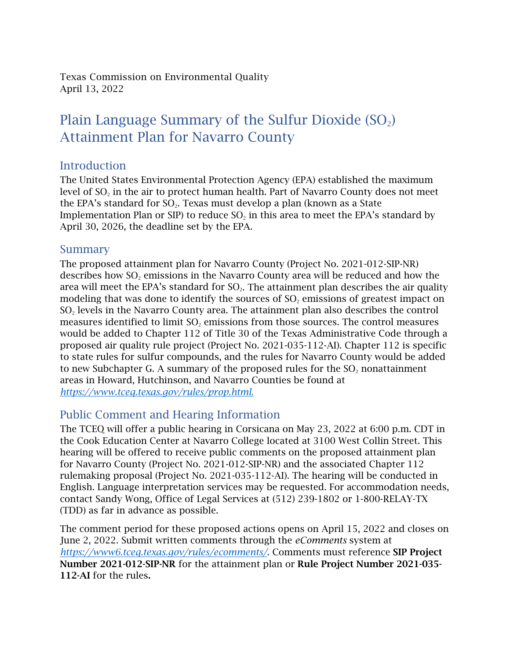Texas Commission on Environmental Quality April 13, 2022

## Plain Language Summary of the Sulfur Dioxide  $(SO<sub>2</sub>)$ Attainment Plan for Navarro County

## Introduction

The United States Environmental Protection Agency (EPA) established the maximum level of  $SO<sub>2</sub>$  in the air to protect human health. Part of Navarro County does not meet the EPA's standard for  $SO_2$ . Texas must develop a plan (known as a State Implementation Plan or SIP) to reduce  $SO<sub>2</sub>$  in this area to meet the EPA's standard by April 30, 2026, the deadline set by the EPA.

## Summary

The proposed attainment plan for Navarro County (Project No. 2021-012-SIP-NR) describes how  $SO<sub>2</sub>$  emissions in the Navarro County area will be reduced and how the area will meet the EPA's standard for  $SO<sub>2</sub>$ . The attainment plan describes the air quality modeling that was done to identify the sources of  $SO<sub>2</sub>$  emissions of greatest impact on SO<sub>2</sub> levels in the Navarro County area. The attainment plan also describes the control measures identified to limit SO<sub>2</sub> emissions from those sources. The control measures would be added to Chapter 112 of Title 30 of the Texas Administrative Code through a proposed air quality rule project (Project No. 2021-035-112-AI). Chapter 112 is specific to state rules for sulfur compounds, and the rules for Navarro County would be added to new Subchapter G. A summary of the proposed rules for the SO<sub>2</sub> nonattainment areas in Howard, Hutchinson, and Navarro Counties be found at *[https://www.tceq.texas.gov/rules/prop.html](https://www.tceq.texas.gov/rules/propose_adopt.html)*.

## Public Comment and Hearing Information

The TCEQ will offer a public hearing in Corsicana on May 23, 2022 at 6:00 p.m. CDT in the Cook Education Center at Navarro College located at 3100 West Collin Street. This hearing will be offered to receive public comments on the proposed attainment plan for Navarro County (Project No. 2021-012-SIP-NR) and the associated Chapter 112 rulemaking proposal (Project No. 2021-035-112-AI). The hearing will be conducted in English. Language interpretation services may be requested. For accommodation needs, contact Sandy Wong, Office of Legal Services at (512) 239-1802 or 1-800-RELAY-TX (TDD) as far in advance as possible.

The comment period for these proposed actions opens on April 15, 2022 and closes on June 2, 2022. Submit written comments through the *eComments* system at *<https://www6.tceq.texas.gov/rules/ecomments/>*. Comments must reference SIP Project Number 2021-012-SIP-NR for the attainment plan or Rule Project Number 2021-035- 112-AI for the rules.